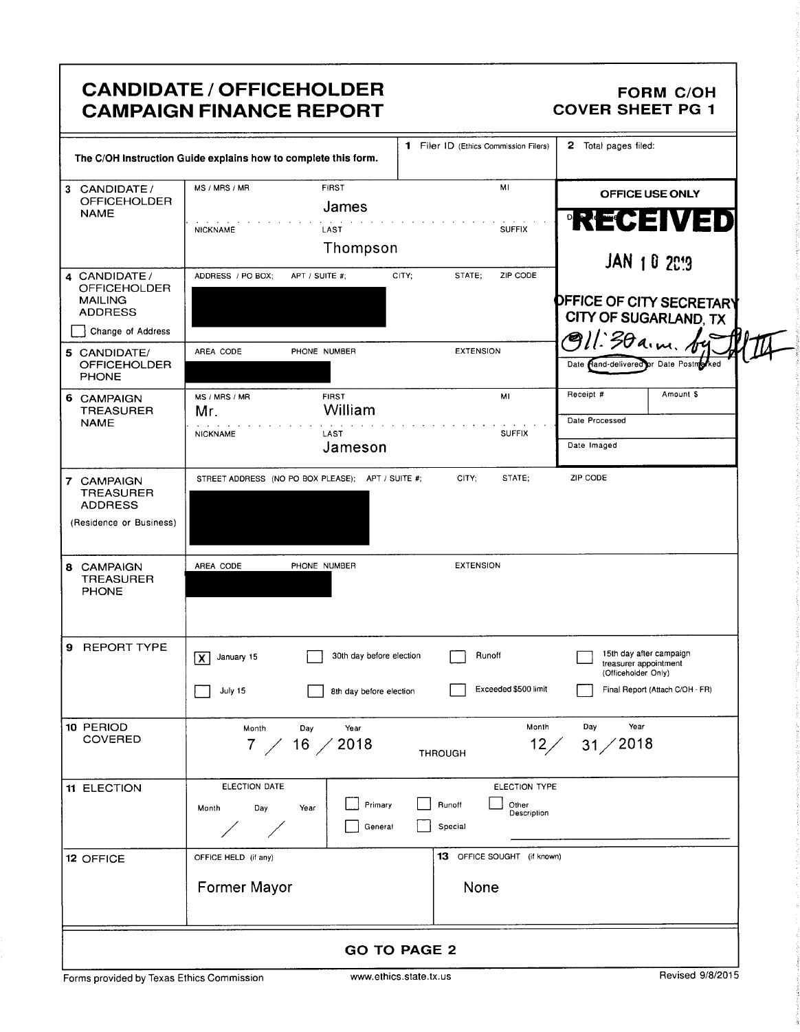### CANDIDATE / OFFICEHOLDER FORM C/OH<br>CAMPAIGN FINANCE REPORT COVER SHEET PG 1 **CAMPAIGN FINANCE REPORT**

|                                                                             | The C/OH Instruction Guide explains how to complete this form.                       | 1 Filer ID (Ethics Commission Filers)                      | 2 Total pages filed:                                                                                       |
|-----------------------------------------------------------------------------|--------------------------------------------------------------------------------------|------------------------------------------------------------|------------------------------------------------------------------------------------------------------------|
| 3 CANDIDATE /<br><b>OFFICEHOLDER</b><br><b>NAME</b>                         | MS / MRS / MR<br><b>FIRST</b><br>James                                               | MI                                                         | OFFICE USE ONLY<br><b>RECENED</b>                                                                          |
|                                                                             | LAST<br><b>NICKNAME</b><br>Thompson                                                  | <b>SUFFIX</b>                                              | <b>JAN 1 0 2019</b>                                                                                        |
| 4 CANDIDATE/<br><b>OFFICEHOLDER</b><br><b>MAILING</b><br><b>ADDRESS</b>     | APT / SUITE #;<br>ADDRESS / PO BOX;                                                  | STATE;<br>ZIP CODE<br>CITY;                                | DFFICE OF CITY SECRETARY<br>CITY OF SUGARLAND, TX                                                          |
| Change of Address                                                           |                                                                                      |                                                            | $l$ :30a.m.                                                                                                |
| 5 CANDIDATE/<br><b>OFFICEHOLDER</b><br><b>PHONE</b>                         | AREA CODE<br>PHONE NUMBER                                                            | <b>EXTENSION</b>                                           | Date Hand-delivered or Date Postmarked                                                                     |
| 6 CAMPAIGN<br><b>TREASURER</b><br><b>NAME</b>                               | <b>FIRST</b><br>MS / MRS / MR<br>William<br>Mr.                                      | MI                                                         | Receipt #<br>Amount \$<br>Date Processed                                                                   |
|                                                                             | <b>NICKNAME</b><br>LAST<br>Jameson                                                   | <b>SUFFIX</b>                                              | Date Imaged                                                                                                |
| 7 CAMPAIGN<br><b>TREASURER</b><br><b>ADDRESS</b><br>(Residence or Business) | STREET ADDRESS (NO PO BOX PLEASE); APT / SUITE #;                                    | CITY;<br>STATE:                                            | ZIP CODE                                                                                                   |
| 8 CAMPAIGN<br><b>TREASURER</b><br><b>PHONE</b>                              | PHONE NUMBER<br>AREA CODE                                                            | <b>EXTENSION</b>                                           |                                                                                                            |
| 9 REPORT TYPE                                                               | 30th day before election<br>January 15<br>lx l<br>July 15<br>8th day before election | Runoff<br>Exceeded \$500 limit                             | 15th day after campaign<br>treasurer appointment<br>(Officeholder Only)<br>Final Report (Attach C/OH - FR) |
| 10 PERIOD<br>COVERED                                                        | Year<br>Month<br>Day<br>2018<br>$16$ /<br>7 /                                        | Month<br>12/<br><b>THROUGH</b>                             | Year<br>Day<br>31/2018                                                                                     |
| 11 ELECTION                                                                 | ELECTION DATE<br>Primary<br>Month<br>Day<br>Year<br>General                          | ELECTION TYPE<br>Runoff<br>Other<br>Description<br>Special |                                                                                                            |
| 12 OFFICE                                                                   | OFFICE HELD (if any)                                                                 | 13 OFFICE SOUGHT (if known)                                |                                                                                                            |
|                                                                             | Former Mayor                                                                         | None                                                       |                                                                                                            |
|                                                                             |                                                                                      | <b>GO TO PAGE 2</b>                                        |                                                                                                            |
| Forms provided by Texas Ethics Commission                                   |                                                                                      | www.ethics.state.tx.us                                     | Revised 9/8/2015                                                                                           |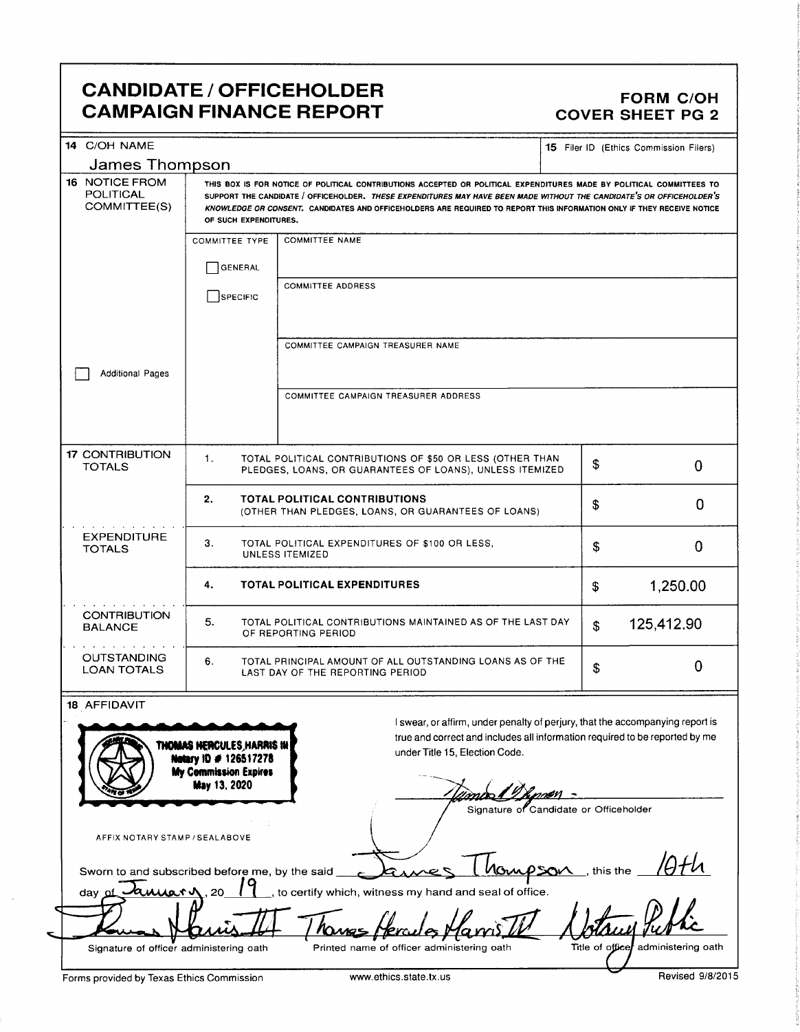### CANDIDATE / OFFICEHOLDER<br>CAMPAIGN FINANCE REPORT CAMPAIGN FINANCE REPORT **CAMPAIGN FINANCE REPORT**

| 14 C/OH NAME<br>James Thompson                                      |                                                                                                     |                                                                                                                                                                                                                                                                                                                                                                         |    | <b>15</b> Filer ID (Ethics Commission Filers) |
|---------------------------------------------------------------------|-----------------------------------------------------------------------------------------------------|-------------------------------------------------------------------------------------------------------------------------------------------------------------------------------------------------------------------------------------------------------------------------------------------------------------------------------------------------------------------------|----|-----------------------------------------------|
| 16 NOTICE FROM<br><b>POLITICAL</b><br>COMMITTEE(S)                  | OF SUCH EXPENDITURES.                                                                               | THIS BOX IS FOR NOTICE OF POLITICAL CONTRIBUTIONS ACCEPTED OR POLITICAL EXPENDITURES MADE BY POLITICAL COMMITTEES TO<br>SUPPORT THE CANDIDATE / OFFICEHOLDER. THESE EXPENDITURES MAY HAVE BEEN MADE WITHOUT THE CANDIDATE'S OR OFFICEHOLDER'S<br>KNOWLEDGE OR CONSENT. CANDIDATES AND OFFICEHOLDERS ARE REQUIRED TO REPORT THIS INFORMATION ONLY IF THEY RECEIVE NOTICE |    |                                               |
|                                                                     | <b>COMMITTEE TYPE</b>                                                                               | <b>COMMITTEE NAME</b>                                                                                                                                                                                                                                                                                                                                                   |    |                                               |
|                                                                     | GENERAL                                                                                             |                                                                                                                                                                                                                                                                                                                                                                         |    |                                               |
|                                                                     | <b>SPECIFIC</b>                                                                                     | <b>COMMITTEE ADDRESS</b>                                                                                                                                                                                                                                                                                                                                                |    |                                               |
| <b>Additional Pages</b>                                             |                                                                                                     | COMMITTEE CAMPAIGN TREASURER NAME                                                                                                                                                                                                                                                                                                                                       |    |                                               |
|                                                                     |                                                                                                     | <b>COMMITTEE CAMPAIGN TREASURER ADDRESS</b>                                                                                                                                                                                                                                                                                                                             |    |                                               |
| <b>17 CONTRIBUTION</b><br><b>TOTALS</b>                             | 1.                                                                                                  | TOTAL POLITICAL CONTRIBUTIONS OF \$50 OR LESS (OTHER THAN<br>PLEDGES, LOANS, OR GUARANTEES OF LOANS), UNLESS ITEMIZED                                                                                                                                                                                                                                                   | \$ | 0                                             |
|                                                                     | 2.                                                                                                  | <b>TOTAL POLITICAL CONTRIBUTIONS</b><br>(OTHER THAN PLEDGES, LOANS, OR GUARANTEES OF LOANS)                                                                                                                                                                                                                                                                             | \$ | 0                                             |
| <b>EXPENDITURE</b><br><b>TOTALS</b>                                 | З.<br>TOTAL POLITICAL EXPENDITURES OF \$100 OR LESS,<br>UNLESS ITEMIZED                             |                                                                                                                                                                                                                                                                                                                                                                         |    | 0                                             |
|                                                                     | 4.                                                                                                  | <b>TOTAL POLITICAL EXPENDITURES</b>                                                                                                                                                                                                                                                                                                                                     | \$ | 1,250.00                                      |
| <b>CONTRIBUTION</b><br>BALANCE                                      | 5.<br>TOTAL POLITICAL CONTRIBUTIONS MAINTAINED AS OF THE LAST DAY<br>OF REPORTING PERIOD            |                                                                                                                                                                                                                                                                                                                                                                         |    | 125,412.90                                    |
| <b>OUTSTANDING</b><br><b>LOAN TOTALS</b>                            | 6.<br>TOTAL PRINCIPAL AMOUNT OF ALL OUTSTANDING LOANS AS OF THE<br>LAST DAY OF THE REPORTING PERIOD |                                                                                                                                                                                                                                                                                                                                                                         |    | 0                                             |
| 18 AFFIDAVIT<br>AFFIX NOTARY STAMP / SEALABOVE                      | THOMAS HERCULES, HARRIS IN<br>Netary 10 # 126517278<br>My Commission Expires<br><b>May 13, 2020</b> | I swear, or affirm, under penalty of perjury, that the accompanying report is<br>true and correct and includes all information required to be reported by me<br>under Title 15, Election Code.<br>Signature of Candidate or Officeholder                                                                                                                                |    |                                               |
| Sworn to and subscribed before me, by the said<br>amiar v<br>day of | .20                                                                                                 | Monoson this the<br>, to certify which, witness my hand and seal of office.                                                                                                                                                                                                                                                                                             |    |                                               |
|                                                                     |                                                                                                     |                                                                                                                                                                                                                                                                                                                                                                         |    |                                               |

 $\sim$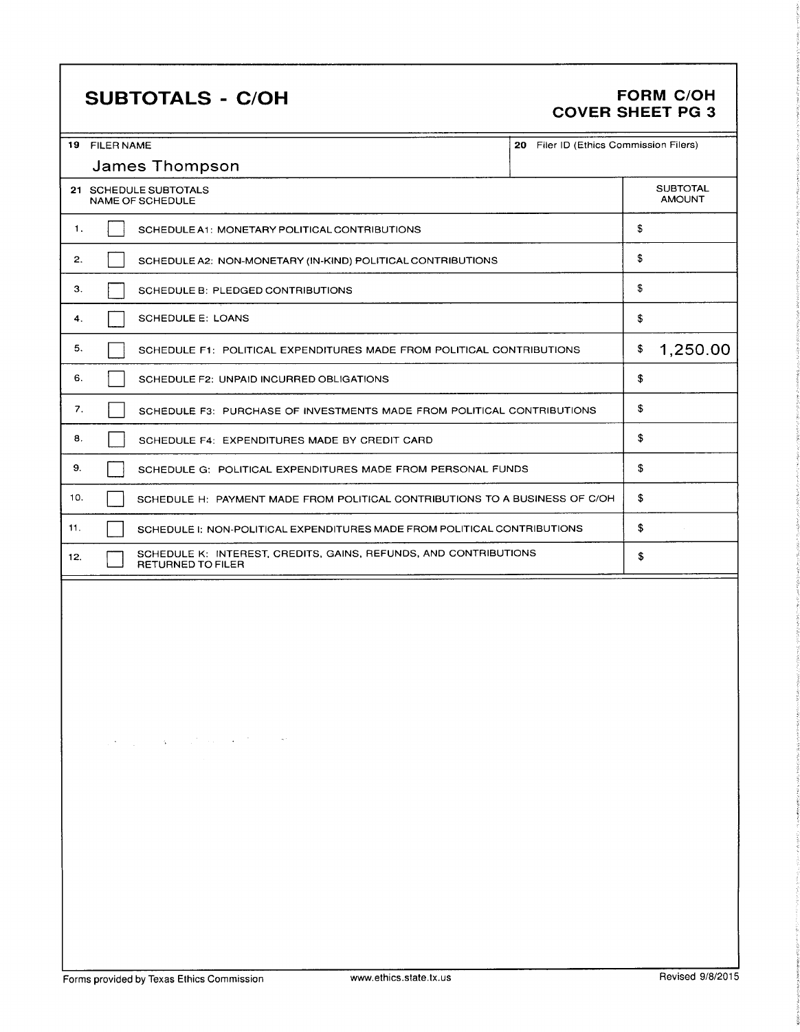## SUBTOTALS - C/OH FORM C/OH

# COVER SHEET PG 3

| 19  | <b>FILER NAME</b>                                                                     | 20 Filer ID (Ethics Commission Filers) |                                  |  |
|-----|---------------------------------------------------------------------------------------|----------------------------------------|----------------------------------|--|
|     | James Thompson                                                                        |                                        |                                  |  |
|     | 21 SCHEDULE SUBTOTALS<br><b>NAME OF SCHEDULE</b>                                      |                                        | <b>SUBTOTAL</b><br><b>AMOUNT</b> |  |
|     | $\mathbf{1}$ .<br>SCHEDULE A1: MONETARY POLITICAL CONTRIBUTIONS                       |                                        |                                  |  |
|     | 2.<br>SCHEDULE A2: NON-MONETARY (IN-KIND) POLITICAL CONTRIBUTIONS                     |                                        |                                  |  |
| 3.  | SCHEDULE B: PLEDGED CONTRIBUTIONS                                                     |                                        | \$                               |  |
| 4.  | <b>SCHEDULE E: LOANS</b>                                                              |                                        | \$                               |  |
| 5.  | SCHEDULE F1: POLITICAL EXPENDITURES MADE FROM POLITICAL CONTRIBUTIONS                 |                                        | 1,250.00<br>\$                   |  |
| 6.  | SCHEDULE F2: UNPAID INCURRED OBLIGATIONS                                              |                                        | \$                               |  |
| 7.  | SCHEDULE F3: PURCHASE OF INVESTMENTS MADE FROM POLITICAL CONTRIBUTIONS                |                                        | \$                               |  |
| 8.  | SCHEDULE F4: EXPENDITURES MADE BY CREDIT CARD                                         |                                        | \$                               |  |
| 9.  | SCHEDULE G: POLITICAL EXPENDITURES MADE FROM PERSONAL FUNDS                           |                                        | \$                               |  |
| 10. | SCHEDULE H: PAYMENT MADE FROM POLITICAL CONTRIBUTIONS TO A BUSINESS OF C/OH           |                                        | \$                               |  |
| 11. | SCHEDULE I: NON-POLITICAL EXPENDITURES MADE FROM POLITICAL CONTRIBUTIONS              |                                        | \$                               |  |
| 12. | SCHEDULE K: INTEREST, CREDITS, GAINS, REFUNDS, AND CONTRIBUTIONS<br>RETURNED TO FILER |                                        | \$                               |  |
|     |                                                                                       |                                        |                                  |  |
|     |                                                                                       |                                        |                                  |  |

 $\label{eq:2.1} \mathbb{E}\left[\mathcal{E}^{(1)}\right]_{\mathcal{L}}=\mathbb{E}\left[\mathcal{E}^{(1)}\right]_{\mathcal{L}}\left(\mathcal{E}^{(1)}\right)_{\mathcal{L}}\left(\mathcal{E}^{(1)}\right)_{\mathcal{L}}\left(\mathcal{E}^{(1)}\right)_{\mathcal{L}}\left(\mathcal{E}^{(1)}\right)_{\mathcal{L}}\left(\mathcal{E}^{(1)}\right)_{\mathcal{L}}\left(\mathcal{E}^{(1)}\right)_{\mathcal{L}}$